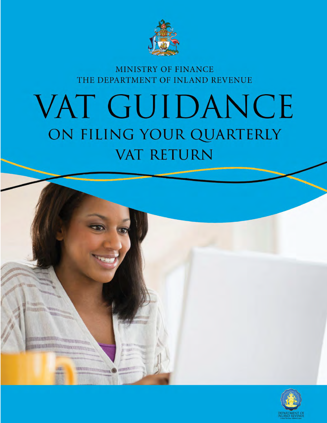

MINISTRY OF FINANCE THE DEPARTMENT OF INLAND REVENUE

# VAT GUIDANCE ON FILING YOUR QUARTERLY **VAT RETURN**



**RWAT** 

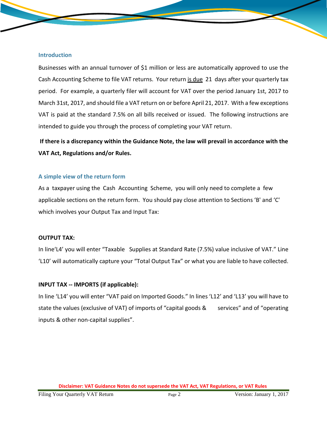#### **Introduction**

Businesses with an annual turnover of \$1 million or less are automatically approved to use the Cash Accounting Scheme to file VAT returns. Your return is due 21 days after your quarterly tax period. For example, a quarterly filer will account for VAT over the period January 1st, 2017 to March 31st, 2017, and should file a VAT return on or before April 21, 2017. With a few exceptions VAT is paid at the standard 7.5% on all bills received or issued. The following instructions are intended to guide you through the process of completing your VAT return.

**If there is a discrepancy within the Guidance Note, the law will prevail in accordance with the VAT Act, Regulations and/or Rules.**

### **A simple view of the return form**

As a taxpayer using the Cash Accounting Scheme, you will only need to complete a few applicable sections on the return form. You should pay close attention to Sections 'B' and 'C' which involves your Output Tax and Input Tax:

### **OUTPUT TAX:**

In line'L4' you will enter "Taxable Supplies at Standard Rate (7.5%) value inclusive of VAT." Line 'L10' will automatically capture your "Total Output Tax" or what you are liable to have collected.

### **INPUT TAX -- IMPORTS (if applicable):**

In line 'L14' you will enter "VAT paid on Imported Goods." In lines 'L12' and 'L13' you will have to state the values (exclusive of VAT) of imports of "capital goods & services" and of "operating inputs & other non-capital supplies".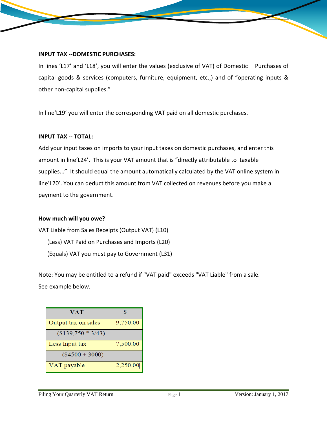#### **INPUT TAX --DOMESTIC PURCHASES:**

In lines 'L17' and 'L18', you will enter the values (exclusive of VAT) of Domestic Purchases of capital goods & services (computers, furniture, equipment, etc.,) and of "operating inputs & other non-capital supplies."

In line'L19' you will enter the corresponding VAT paid on all domestic purchases.

### **INPUT TAX -- TOTAL:**

Add your input taxes on imports to your input taxes on domestic purchases, and enter this amount in line'L24'. This is your VAT amount that is "directly attributable to taxable supplies..." It should equal the amount automatically calculated by the VAT online system in line'L20'. You can deduct this amount from VAT collected on revenues before you make a payment to the government.

### **How much will you owe?**

VAT Liable from Sales Receipts (Output VAT) (L10) (Less) VAT Paid on Purchases and Imports (L20) (Equals) VAT you must pay to Government (L31)

Note: You may be entitled to a refund if "VAT paid" exceeds "VAT Liable" from a sale. See example below.

| VAT                 | $\mathcal{R}$ |
|---------------------|---------------|
| Output tax on sales | 9,750.00      |
| $($139,750 * 3/43)$ |               |
| Less Input tax      | 7,500.00      |
| $($4500 + 3000)$    |               |
| VAT payable         | 2,250.00      |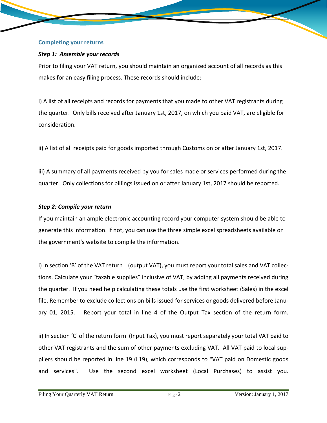#### **Completing your returns**

## *Step 1: Assemble your records*

Prior to filing your VAT return, you should maintain an organized account of all records as this makes for an easy filing process. These records should include:

i) A list of all receipts and records for payments that you made to other VAT registrants during the quarter. Only bills received after January 1st, 2017, on which you paid VAT, are eligible for consideration.

ii) A list of all receipts paid for goods imported through Customs on or after January 1st, 2017.

iii) A summary of all payments received by you for sales made or services performed during the quarter. Only collections for billings issued on or after January 1st, 2017 should be reported.

### *Step 2: Compile your return*

If you maintain an ample electronic accounting record your computer system should be able to generate this information. If not, you can use the three simple excel spreadsheets available on the government's website to compile the information.

i) In section 'B' of the VAT return (output VAT), you must report your total sales and VAT collections. Calculate your "taxable supplies" inclusive of VAT, by adding all payments received during the quarter. If you need help calculating these totals use the first worksheet (Sales) in the excel file. Remember to exclude collections on bills issued for services or goods delivered before January 01, 2015. Report your total in line 4 of the Output Tax section of the return form.

ii) In section 'C' of the return form (Input Tax), you must report separately your total VAT paid to other VAT registrants and the sum of other payments excluding VAT. All VAT paid to local suppliers should be reported in line 19 (L19), which corresponds to "VAT paid on Domestic goods and services". Use the second excel worksheet (Local Purchases) to assist you.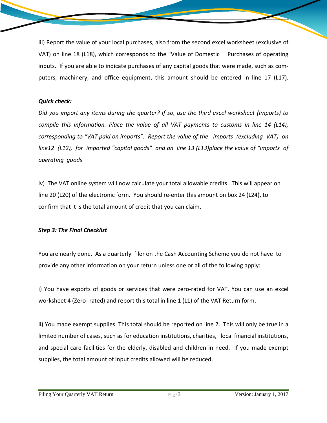iii) Report the value of your local purchases, also from the second excel worksheet (exclusive of VAT) on line 18 (L18), which corresponds to the "Value of Domestic Purchases of operating inputs. If you are able to indicate purchases of any capital goods that were made, such as computers, machinery, and office equipment, this amount should be entered in line 17 (L17).

### *Quick check:*

*Did you import any items during the quarter? If so, use the third excel worksheet (Imports) to compile this information. Place the value of all VAT payments to customs in line 14 (L14), corresponding to "VAT paid on imports". Report the value of the imports (excluding VAT) on line12 (L12), for imported "capital goods" and on line 13 (L13)place the value of "imports of operating goods*

iv) The VAT online system will now calculate your total allowable credits. This will appear on line 20 (L20) of the electronic form. You should re-enter this amount on box 24 (L24), to confirm that it is the total amount of credit that you can claim.

# *Step 3: The Final Checklist*

You are nearly done. As a quarterly filer on the Cash Accounting Scheme you do not have to provide any other information on your return unless one or all of the following apply:

i) You have exports of goods or services that were zero-rated for VAT. You can use an excel worksheet 4 (Zero- rated) and report this total in line 1 (L1) of the VAT Return form.

ii) You made exempt supplies. This total should be reported on line 2. This will only be true in a limited number of cases, such as for education institutions, charities, local financial institutions, and special care facilities for the elderly, disabled and children in need. If you made exempt supplies, the total amount of input credits allowed will be reduced.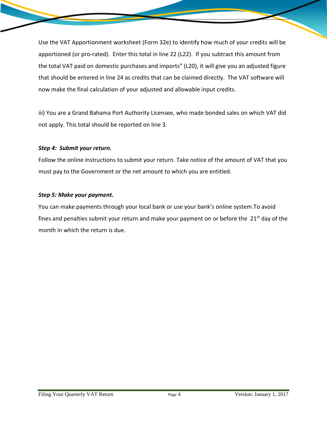Use the VAT Apportionment worksheet (Form 32e) to identify how much of your credits will be apportioned (or pro-rated). Enter this total in line 22 (L22). If you subtract this amount from the total VAT paid on domestic purchases and imports" (L20), it will give you an adjusted figure that should be entered in line 24 as credits that can be claimed directly. The VAT software will now make the final calculation of your adjusted and allowable input credits.

iii) You are a Grand Bahama Port Authority Licensee, who made bonded sales on which VAT did not apply. This total should be reported on line 3.

### *Step 4: Submit your return.*

Follow the online instructions to submit your return. Take notice of the amount of VAT that you must pay to the Government or the net amount to which you are entitled.

## *Step 5: Make your payment.*

You can make payments through your local bank or use your bank's online system.To avoid fines and penalties submit your return and make your payment on or before the  $21<sup>st</sup>$  day of the month in which the return is due.